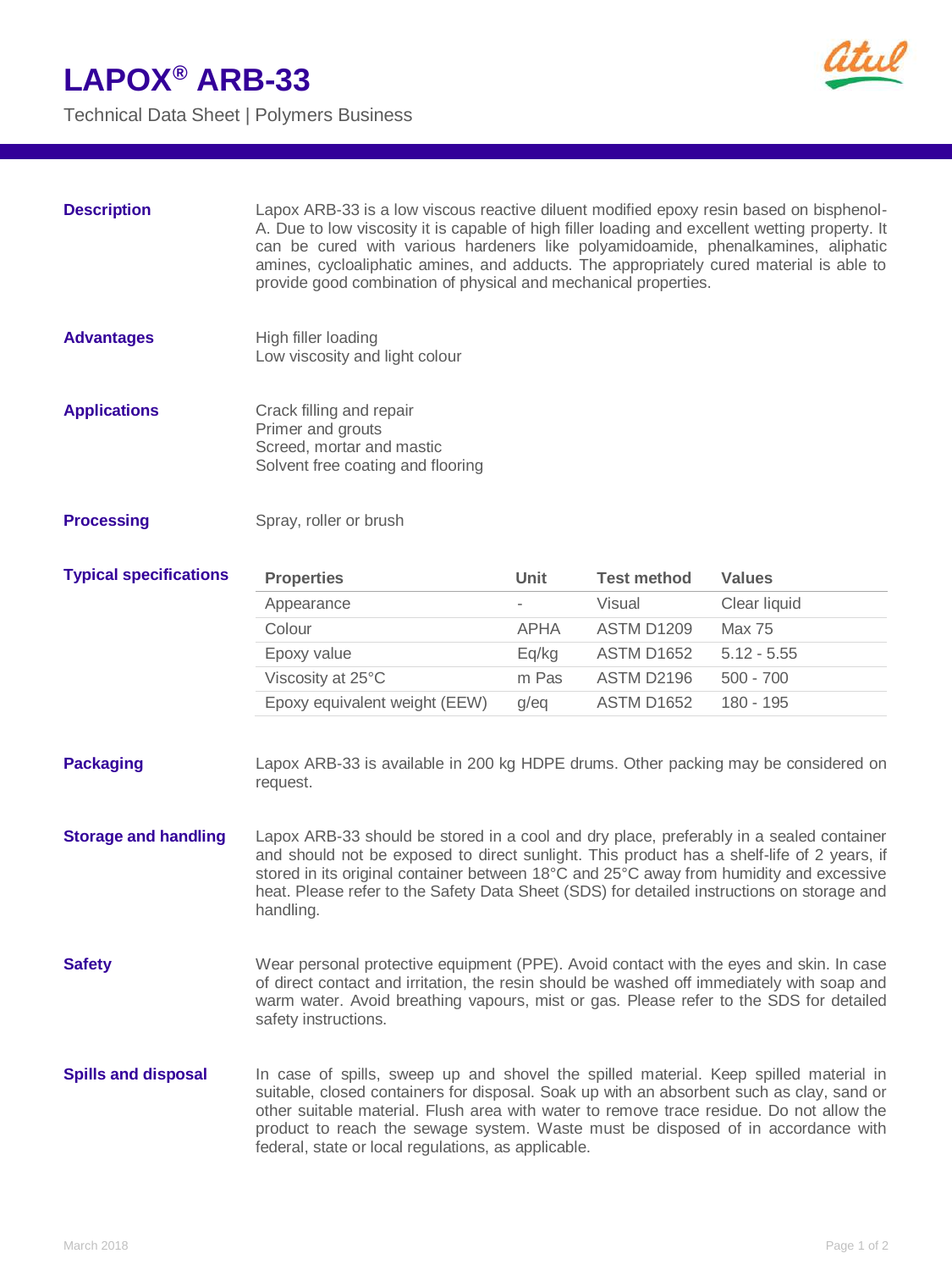## **LAPOX® ARB-33**

Technical Data Sheet | Polymers Business



| <b>Description</b>            | Lapox ARB-33 is a low viscous reactive diluent modified epoxy resin based on bisphenol-<br>A. Due to low viscosity it is capable of high filler loading and excellent wetting property. It<br>can be cured with various hardeners like polyamidoamide, phenalkamines, aliphatic<br>amines, cycloaliphatic amines, and adducts. The appropriately cured material is able to<br>provide good combination of physical and mechanical properties. |             |                    |               |
|-------------------------------|-----------------------------------------------------------------------------------------------------------------------------------------------------------------------------------------------------------------------------------------------------------------------------------------------------------------------------------------------------------------------------------------------------------------------------------------------|-------------|--------------------|---------------|
| <b>Advantages</b>             | High filler loading<br>Low viscosity and light colour                                                                                                                                                                                                                                                                                                                                                                                         |             |                    |               |
| <b>Applications</b>           | Crack filling and repair<br>Primer and grouts<br>Screed, mortar and mastic<br>Solvent free coating and flooring                                                                                                                                                                                                                                                                                                                               |             |                    |               |
| <b>Processing</b>             | Spray, roller or brush                                                                                                                                                                                                                                                                                                                                                                                                                        |             |                    |               |
| <b>Typical specifications</b> | <b>Properties</b>                                                                                                                                                                                                                                                                                                                                                                                                                             | <b>Unit</b> | <b>Test method</b> | <b>Values</b> |
|                               | Appearance                                                                                                                                                                                                                                                                                                                                                                                                                                    |             | Visual             | Clear liquid  |
|                               | Colour                                                                                                                                                                                                                                                                                                                                                                                                                                        | <b>APHA</b> | <b>ASTM D1209</b>  | <b>Max 75</b> |
|                               | Epoxy value                                                                                                                                                                                                                                                                                                                                                                                                                                   | Eq/kg       | <b>ASTM D1652</b>  | $5.12 - 5.55$ |
|                               | Viscosity at 25°C                                                                                                                                                                                                                                                                                                                                                                                                                             | m Pas       | ASTM D2196         | $500 - 700$   |
|                               | Epoxy equivalent weight (EEW)                                                                                                                                                                                                                                                                                                                                                                                                                 | g/eq        | <b>ASTM D1652</b>  | 180 - 195     |
| <b>Packaging</b>              | Lapox ARB-33 is available in 200 kg HDPE drums. Other packing may be considered on<br>request.                                                                                                                                                                                                                                                                                                                                                |             |                    |               |
| <b>Storage and handling</b>   | Lapox ARB-33 should be stored in a cool and dry place, preferably in a sealed container<br>and should not be exposed to direct sunlight. This product has a shelf-life of 2 years, if<br>stored in its original container between 18°C and 25°C away from humidity and excessive<br>heat. Please refer to the Safety Data Sheet (SDS) for detailed instructions on storage and<br>handling.                                                   |             |                    |               |
| <b>Safety</b>                 | Wear personal protective equipment (PPE). Avoid contact with the eyes and skin. In case<br>of direct contact and irritation, the resin should be washed off immediately with soap and<br>warm water. Avoid breathing vapours, mist or gas. Please refer to the SDS for detailed<br>safety instructions.                                                                                                                                       |             |                    |               |
| <b>Spills and disposal</b>    | In case of spills, sweep up and shovel the spilled material. Keep spilled material in<br>suitable, closed containers for disposal. Soak up with an absorbent such as clay, sand or<br>other suitable material. Flush area with water to remove trace residue. Do not allow the<br>product to reach the sewage system. Waste must be disposed of in accordance with<br>federal, state or local regulations, as applicable.                     |             |                    |               |